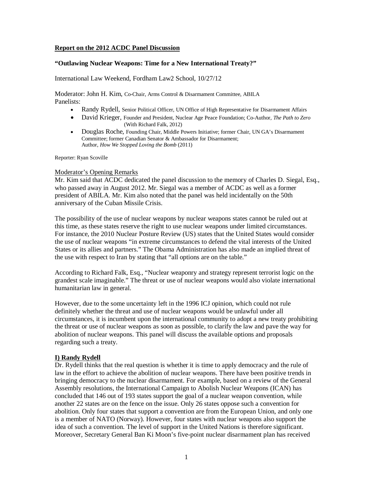### **Report on the 2012 ACDC Panel Discussion**

#### **"Outlawing Nuclear Weapons: Time for a New International Treaty?"**

International Law Weekend, Fordham Law2 School, 10/27/12

Moderator: John H. Kim, Co-Chair, Arms Control & Disarmament Committee, ABILA Panelists:

- Randy Rydell, Senior Political Officer, UN Office of High Representative for Disarmament Affairs
- David Krieger, Founder and President, Nuclear Age Peace Foundation; Co-Author, *The Path to Zero* (With Richard Falk, 2012)
- Douglas Roche, Founding Chair, Middle Powers Initiative; former Chair, UN GA's Disarmament Committee; former Canadian Senator & Ambassador for Disarmament; Author, *How We Stopped Loving the Bomb* (2011)

Reporter: Ryan Scoville

#### Moderator's Opening Remarks

Mr. Kim said that ACDC dedicated the panel discussion to the memory of Charles D. Siegal, Esq., who passed away in August 2012. Mr. Siegal was a member of ACDC as well as a former president of ABILA. Mr. Kim also noted that the panel was held incidentally on the 50th anniversary of the Cuban Missile Crisis.

The possibility of the use of nuclear weapons by nuclear weapons states cannot be ruled out at this time, as these states reserve the right to use nuclear weapons under limited circumstances. For instance, the 2010 Nuclear Posture Review (US) states that the United States would consider the use of nuclear weapons "in extreme circumstances to defend the vital interests of the United States or its allies and partners." The Obama Administration has also made an implied threat of the use with respect to Iran by stating that "all options are on the table."

According to Richard Falk, Esq., "Nuclear weaponry and strategy represent terrorist logic on the grandest scale imaginable." The threat or use of nuclear weapons would also violate international humanitarian law in general.

However, due to the some uncertainty left in the 1996 ICJ opinion, which could not rule definitely whether the threat and use of nuclear weapons would be unlawful under all circumstances, it is incumbent upon the international community to adopt a new treaty prohibiting the threat or use of nuclear weapons as soon as possible, to clarify the law and pave the way for abolition of nuclear weapons. This panel will discuss the available options and proposals regarding such a treaty.

### **I) Randy Rydell**

Dr. Rydell thinks that the real question is whether it is time to apply democracy and the rule of law in the effort to achieve the abolition of nuclear weapons. There have been positive trends in bringing democracy to the nuclear disarmament. For example, based on a review of the General Assembly resolutions, the International Campaign to Abolish Nuclear Weapons (ICAN) has concluded that 146 out of 193 states support the goal of a nuclear weapon convention, while another 22 states are on the fence on the issue. Only 26 states oppose such a convention for abolition. Only four states that support a convention are from the European Union, and only one is a member of NATO (Norway). However, four states with nuclear weapons also support the idea of such a convention. The level of support in the United Nations is therefore significant. Moreover, Secretary General Ban Ki Moon's five-point nuclear disarmament plan has received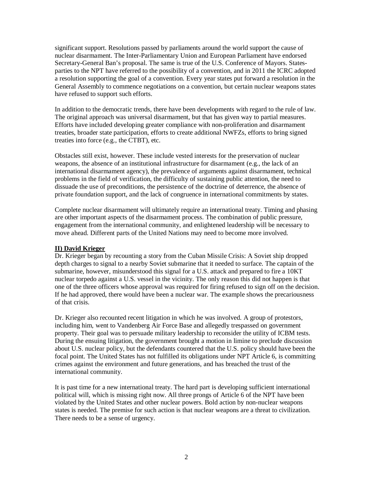significant support. Resolutions passed by parliaments around the world support the cause of nuclear disarmament. The Inter-Parliamentary Union and European Parliament have endorsed Secretary-General Ban's proposal. The same is true of the U.S. Conference of Mayors. Statesparties to the NPT have referred to the possibility of a convention, and in 2011 the ICRC adopted a resolution supporting the goal of a convention. Every year states put forward a resolution in the General Assembly to commence negotiations on a convention, but certain nuclear weapons states have refused to support such efforts.

In addition to the democratic trends, there have been developments with regard to the rule of law. The original approach was universal disarmament, but that has given way to partial measures. Efforts have included developing greater compliance with non-proliferation and disarmament treaties, broader state participation, efforts to create additional NWFZs, efforts to bring signed treaties into force (e.g., the CTBT), etc.

Obstacles still exist, however. These include vested interests for the preservation of nuclear weapons, the absence of an institutional infrastructure for disarmament (e.g., the lack of an international disarmament agency), the prevalence of arguments against disarmament, technical problems in the field of verification, the difficulty of sustaining public attention, the need to dissuade the use of preconditions, the persistence of the doctrine of deterrence, the absence of private foundation support, and the lack of congruence in international commitments by states.

Complete nuclear disarmament will ultimately require an international treaty. Timing and phasing are other important aspects of the disarmament process. The combination of public pressure, engagement from the international community, and enlightened leadership will be necessary to move ahead. Different parts of the United Nations may need to become more involved.

# **II) David Krieger**

Dr. Krieger began by recounting a story from the Cuban Missile Crisis: A Soviet ship dropped depth charges to signal to a nearby Soviet submarine that it needed to surface. The captain of the submarine, however, misunderstood this signal for a U.S. attack and prepared to fire a 10KT nuclear torpedo against a U.S. vessel in the vicinity. The only reason this did not happen is that one of the three officers whose approval was required for firing refused to sign off on the decision. If he had approved, there would have been a nuclear war. The example shows the precariousness of that crisis.

Dr. Krieger also recounted recent litigation in which he was involved. A group of protestors, including him, went to Vandenberg Air Force Base and allegedly trespassed on government property. Their goal was to persuade military leadership to reconsider the utility of ICBM tests. During the ensuing litigation, the government brought a motion in limine to preclude discussion about U.S. nuclear policy, but the defendants countered that the U.S. policy should have been the focal point. The United States has not fulfilled its obligations under NPT Article 6, is committing crimes against the environment and future generations, and has breached the trust of the international community.

It is past time for a new international treaty. The hard part is developing sufficient international political will, which is missing right now. All three prongs of Article 6 of the NPT have been violated by the United States and other nuclear powers. Bold action by non-nuclear weapons states is needed. The premise for such action is that nuclear weapons are a threat to civilization. There needs to be a sense of urgency.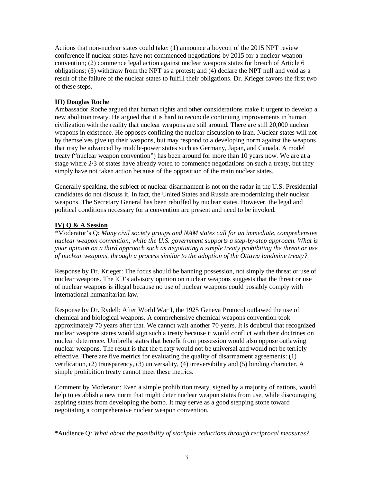Actions that non-nuclear states could take: (1) announce a boycott of the 2015 NPT review conference if nuclear states have not commenced negotiations by 2015 for a nuclear weapon convention; (2) commence legal action against nuclear weapons states for breach of Article 6 obligations; (3) withdraw from the NPT as a protest; and (4) declare the NPT null and void as a result of the failure of the nuclear states to fulfill their obligations. Dr. Krieger favors the first two of these steps.

## **III) Douglas Roche**

Ambassador Roche argued that human rights and other considerations make it urgent to develop a new abolition treaty. He argued that it is hard to reconcile continuing improvements in human civilization with the reality that nuclear weapons are still around. There are still 20,000 nuclear weapons in existence. He opposes confining the nuclear discussion to Iran. Nuclear states will not by themselves give up their weapons, but may respond to a developing norm against the weapons that may be advanced by middle-power states such as Germany, Japan, and Canada. A model treaty ("nuclear weapon convention") has been around for more than 10 years now. We are at a stage where 2/3 of states have already voted to commence negotiations on such a treaty, but they simply have not taken action because of the opposition of the main nuclear states.

Generally speaking, the subject of nuclear disarmament is not on the radar in the U.S. Presidential candidates do not discuss it. In fact, the United States and Russia are modernizing their nuclear weapons. The Secretary General has been rebuffed by nuclear states. However, the legal and political conditions necessary for a convention are present and need to be invoked.

# **IV) Q & A Session**

*\**Moderator's Q: *Many civil society groups and NAM states call for an immediate, comprehensive nuclear weapon convention, while the U.S. government supports a step-by-step approach. What is your opinion on a third approach such as negotiating a simple treaty prohibiting the threat or use of nuclear weapons, through a process similar to the adoption of the Ottawa landmine treaty?*

Response by Dr. Krieger: The focus should be banning possession, not simply the threat or use of nuclear weapons. The ICJ's advisory opinion on nuclear weapons suggests that the threat or use of nuclear weapons is illegal because no use of nuclear weapons could possibly comply with international humanitarian law.

Response by Dr. Rydell: After World War I, the 1925 Geneva Protocol outlawed the use of chemical and biological weapons. A comprehensive chemical weapons convention took approximately 70 years after that. We cannot wait another 70 years. It is doubtful that recognized nuclear weapons states would sign such a treaty because it would conflict with their doctrines on nuclear deterrence. Umbrella states that benefit from possession would also oppose outlawing nuclear weapons. The result is that the treaty would not be universal and would not be terribly effective. There are five metrics for evaluating the quality of disarmament agreements: (1) verification, (2) transparency, (3) universality, (4) irreversibility and (5) binding character. A simple prohibition treaty cannot meet these metrics.

Comment by Moderator: Even a simple prohibition treaty, signed by a majority of nations, would help to establish a new norm that might deter nuclear weapon states from use, while discouraging aspiring states from developing the bomb. It may serve as a good stepping stone toward negotiating a comprehensive nuclear weapon convention.

\*Audience Q: *What about the possibility of stockpile reductions through reciprocal measures?*